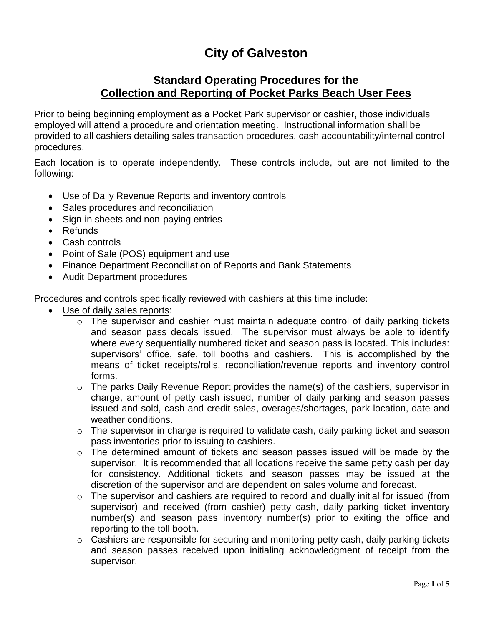## **City of Galveston**

## **Standard Operating Procedures for the Collection and Reporting of Pocket Parks Beach User Fees**

Prior to being beginning employment as a Pocket Park supervisor or cashier, those individuals employed will attend a procedure and orientation meeting. Instructional information shall be provided to all cashiers detailing sales transaction procedures, cash accountability/internal control procedures.

Each location is to operate independently. These controls include, but are not limited to the following:

- Use of Daily Revenue Reports and inventory controls
- Sales procedures and reconciliation
- Sign-in sheets and non-paying entries
- Refunds
- Cash controls
- Point of Sale (POS) equipment and use
- Finance Department Reconciliation of Reports and Bank Statements
- Audit Department procedures

Procedures and controls specifically reviewed with cashiers at this time include:

- Use of daily sales reports:
	- o The supervisor and cashier must maintain adequate control of daily parking tickets and season pass decals issued. The supervisor must always be able to identify where every sequentially numbered ticket and season pass is located. This includes: supervisors' office, safe, toll booths and cashiers. This is accomplished by the means of ticket receipts/rolls, reconciliation/revenue reports and inventory control forms.
	- o The parks Daily Revenue Report provides the name(s) of the cashiers, supervisor in charge, amount of petty cash issued, number of daily parking and season passes issued and sold, cash and credit sales, overages/shortages, park location, date and weather conditions.
	- o The supervisor in charge is required to validate cash, daily parking ticket and season pass inventories prior to issuing to cashiers.
	- o The determined amount of tickets and season passes issued will be made by the supervisor. It is recommended that all locations receive the same petty cash per day for consistency. Additional tickets and season passes may be issued at the discretion of the supervisor and are dependent on sales volume and forecast.
	- o The supervisor and cashiers are required to record and dually initial for issued (from supervisor) and received (from cashier) petty cash, daily parking ticket inventory number(s) and season pass inventory number(s) prior to exiting the office and reporting to the toll booth.
	- o Cashiers are responsible for securing and monitoring petty cash, daily parking tickets and season passes received upon initialing acknowledgment of receipt from the supervisor.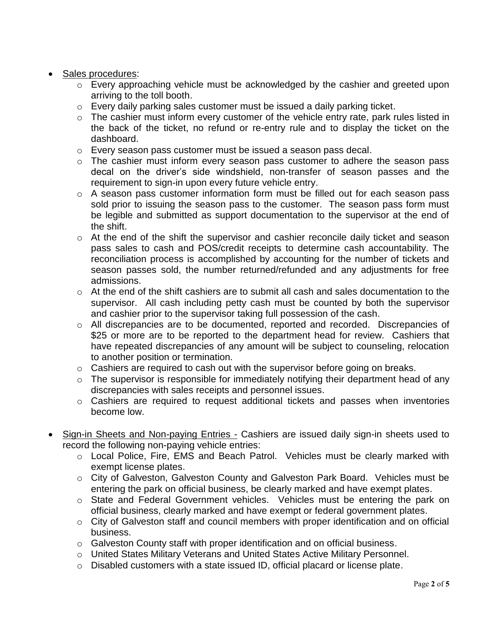- Sales procedures:
	- o Every approaching vehicle must be acknowledged by the cashier and greeted upon arriving to the toll booth.
	- o Every daily parking sales customer must be issued a daily parking ticket.
	- o The cashier must inform every customer of the vehicle entry rate, park rules listed in the back of the ticket, no refund or re-entry rule and to display the ticket on the dashboard.
	- o Every season pass customer must be issued a season pass decal.
	- o The cashier must inform every season pass customer to adhere the season pass decal on the driver's side windshield, non-transfer of season passes and the requirement to sign-in upon every future vehicle entry.
	- o A season pass customer information form must be filled out for each season pass sold prior to issuing the season pass to the customer. The season pass form must be legible and submitted as support documentation to the supervisor at the end of the shift.
	- o At the end of the shift the supervisor and cashier reconcile daily ticket and season pass sales to cash and POS/credit receipts to determine cash accountability. The reconciliation process is accomplished by accounting for the number of tickets and season passes sold, the number returned/refunded and any adjustments for free admissions.
	- o At the end of the shift cashiers are to submit all cash and sales documentation to the supervisor. All cash including petty cash must be counted by both the supervisor and cashier prior to the supervisor taking full possession of the cash.
	- o All discrepancies are to be documented, reported and recorded. Discrepancies of \$25 or more are to be reported to the department head for review. Cashiers that have repeated discrepancies of any amount will be subject to counseling, relocation to another position or termination.
	- o Cashiers are required to cash out with the supervisor before going on breaks.
	- $\circ$  The supervisor is responsible for immediately notifying their department head of any discrepancies with sales receipts and personnel issues.
	- o Cashiers are required to request additional tickets and passes when inventories become low.
- Sign-in Sheets and Non-paying Entries Cashiers are issued daily sign-in sheets used to record the following non-paying vehicle entries:
	- o Local Police, Fire, EMS and Beach Patrol. Vehicles must be clearly marked with exempt license plates.
	- o City of Galveston, Galveston County and Galveston Park Board. Vehicles must be entering the park on official business, be clearly marked and have exempt plates.
	- o State and Federal Government vehicles. Vehicles must be entering the park on official business, clearly marked and have exempt or federal government plates.
	- o City of Galveston staff and council members with proper identification and on official business.
	- o Galveston County staff with proper identification and on official business.
	- o United States Military Veterans and United States Active Military Personnel.
	- o Disabled customers with a state issued ID, official placard or license plate.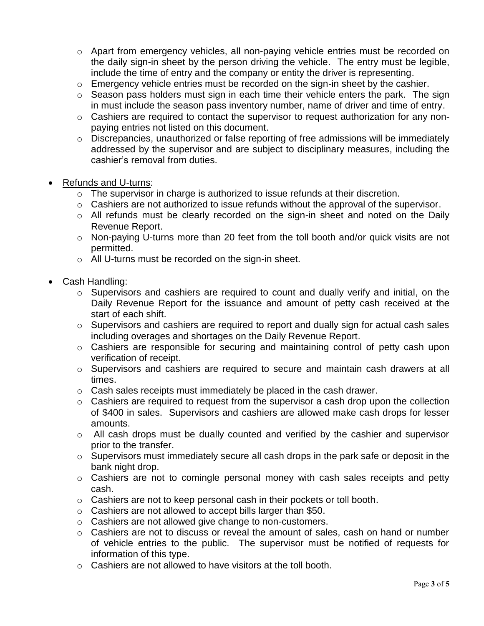- o Apart from emergency vehicles, all non-paying vehicle entries must be recorded on the daily sign-in sheet by the person driving the vehicle. The entry must be legible, include the time of entry and the company or entity the driver is representing.
- o Emergency vehicle entries must be recorded on the sign-in sheet by the cashier.
- o Season pass holders must sign in each time their vehicle enters the park. The sign in must include the season pass inventory number, name of driver and time of entry.
- o Cashiers are required to contact the supervisor to request authorization for any nonpaying entries not listed on this document.
- o Discrepancies, unauthorized or false reporting of free admissions will be immediately addressed by the supervisor and are subject to disciplinary measures, including the cashier's removal from duties.
- Refunds and U-turns:
	- $\circ$  The supervisor in charge is authorized to issue refunds at their discretion.
	- o Cashiers are not authorized to issue refunds without the approval of the supervisor.
	- o All refunds must be clearly recorded on the sign-in sheet and noted on the Daily Revenue Report.
	- $\circ$  Non-paying U-turns more than 20 feet from the toll booth and/or quick visits are not permitted.
	- o All U-turns must be recorded on the sign-in sheet.
- Cash Handling:
	- o Supervisors and cashiers are required to count and dually verify and initial, on the Daily Revenue Report for the issuance and amount of petty cash received at the start of each shift.
	- $\circ$  Supervisors and cashiers are required to report and dually sign for actual cash sales including overages and shortages on the Daily Revenue Report.
	- $\circ$  Cashiers are responsible for securing and maintaining control of petty cash upon verification of receipt.
	- o Supervisors and cashiers are required to secure and maintain cash drawers at all times.
	- o Cash sales receipts must immediately be placed in the cash drawer.
	- $\circ$  Cashiers are required to request from the supervisor a cash drop upon the collection of \$400 in sales. Supervisors and cashiers are allowed make cash drops for lesser amounts.
	- o All cash drops must be dually counted and verified by the cashier and supervisor prior to the transfer.
	- o Supervisors must immediately secure all cash drops in the park safe or deposit in the bank night drop.
	- o Cashiers are not to comingle personal money with cash sales receipts and petty cash.
	- o Cashiers are not to keep personal cash in their pockets or toll booth.
	- o Cashiers are not allowed to accept bills larger than \$50.
	- o Cashiers are not allowed give change to non-customers.
	- $\circ$  Cashiers are not to discuss or reveal the amount of sales, cash on hand or number of vehicle entries to the public. The supervisor must be notified of requests for information of this type.
	- o Cashiers are not allowed to have visitors at the toll booth.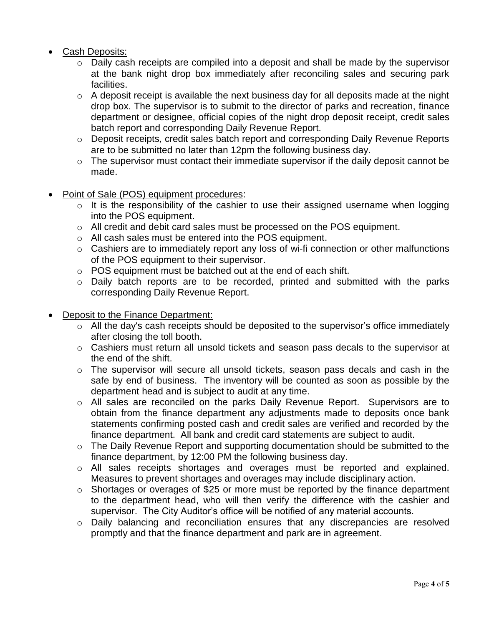## Cash Deposits:

- $\circ$  Daily cash receipts are compiled into a deposit and shall be made by the supervisor at the bank night drop box immediately after reconciling sales and securing park facilities.
- $\circ$  A deposit receipt is available the next business day for all deposits made at the night drop box. The supervisor is to submit to the director of parks and recreation, finance department or designee, official copies of the night drop deposit receipt, credit sales batch report and corresponding Daily Revenue Report.
- o Deposit receipts, credit sales batch report and corresponding Daily Revenue Reports are to be submitted no later than 12pm the following business day.
- o The supervisor must contact their immediate supervisor if the daily deposit cannot be made.
- Point of Sale (POS) equipment procedures:
	- $\circ$  It is the responsibility of the cashier to use their assigned username when logging into the POS equipment.
	- o All credit and debit card sales must be processed on the POS equipment.
	- o All cash sales must be entered into the POS equipment.
	- o Cashiers are to immediately report any loss of wi-fi connection or other malfunctions of the POS equipment to their supervisor.
	- o POS equipment must be batched out at the end of each shift.
	- o Daily batch reports are to be recorded, printed and submitted with the parks corresponding Daily Revenue Report.
- Deposit to the Finance Department:
	- $\circ$  All the day's cash receipts should be deposited to the supervisor's office immediately after closing the toll booth.
	- o Cashiers must return all unsold tickets and season pass decals to the supervisor at the end of the shift.
	- o The supervisor will secure all unsold tickets, season pass decals and cash in the safe by end of business. The inventory will be counted as soon as possible by the department head and is subject to audit at any time.
	- o All sales are reconciled on the parks Daily Revenue Report. Supervisors are to obtain from the finance department any adjustments made to deposits once bank statements confirming posted cash and credit sales are verified and recorded by the finance department. All bank and credit card statements are subject to audit.
	- o The Daily Revenue Report and supporting documentation should be submitted to the finance department, by 12:00 PM the following business day.
	- o All sales receipts shortages and overages must be reported and explained. Measures to prevent shortages and overages may include disciplinary action.
	- o Shortages or overages of \$25 or more must be reported by the finance department to the department head, who will then verify the difference with the cashier and supervisor. The City Auditor's office will be notified of any material accounts.
	- o Daily balancing and reconciliation ensures that any discrepancies are resolved promptly and that the finance department and park are in agreement.